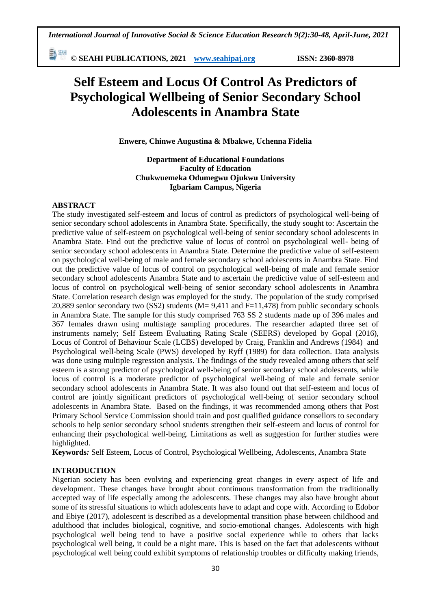勤細 **© SEAHI PUBLICATIONS, 2021 [www.seahipaj.org](http://www.seahipaj.org/) ISSN: 2360-8978**

# **Self Esteem and Locus Of Control As Predictors of Psychological Wellbeing of Senior Secondary School Adolescents in Anambra State**

**Enwere, Chinwe Augustina & Mbakwe, Uchenna Fidelia**

**Department of Educational Foundations Faculty of Education Chukwuemeka Odumegwu Ojukwu University Igbariam Campus, Nigeria**

## **ABSTRACT**

The study investigated self-esteem and locus of control as predictors of psychological well-being of senior secondary school adolescents in Anambra State. Specifically, the study sought to: Ascertain the predictive value of self-esteem on psychological well-being of senior secondary school adolescents in Anambra State. Find out the predictive value of locus of control on psychological well- being of senior secondary school adolescents in Anambra State. Determine the predictive value of self-esteem on psychological well-being of male and female secondary school adolescents in Anambra State. Find out the predictive value of locus of control on psychological well-being of male and female senior secondary school adolescents Anambra State and to ascertain the predictive value of self-esteem and locus of control on psychological well-being of senior secondary school adolescents in Anambra State. Correlation research design was employed for the study. The population of the study comprised 20,889 senior secondary two (SS2) students (M= 9,411 and F=11,478) from public secondary schools in Anambra State. The sample for this study comprised 763 SS 2 students made up of 396 males and 367 females drawn using multistage sampling procedures. The researcher adapted three set of instruments namely; Self Esteem Evaluating Rating Scale (SEERS) developed by Gopal (2016), Locus of Control of Behaviour Scale (LCBS) developed by Craig, Franklin and Andrews (1984) and Psychological well-being Scale (PWS) developed by Ryff (1989) for data collection. Data analysis was done using multiple regression analysis. The findings of the study revealed among others that self esteem is a strong predictor of psychological well-being of senior secondary school adolescents, while locus of control is a moderate predictor of psychological well-being of male and female senior secondary school adolescents in Anambra State. It was also found out that self-esteem and locus of control are jointly significant predictors of psychological well-being of senior secondary school adolescents in Anambra State. Based on the findings, it was recommended among others that Post Primary School Service Commission should train and post qualified guidance consellors to secondary schools to help senior secondary school students strengthen their self-esteem and locus of control for enhancing their psychological well-being. Limitations as well as suggestion for further studies were highlighted.

**Keywords***:* Self Esteem, Locus of Control, Psychological Wellbeing, Adolescents, Anambra State

## **INTRODUCTION**

Nigerian society has been evolving and experiencing great changes in every aspect of life and development. These changes have brought about continuous transformation from the traditionally accepted way of life especially among the adolescents. These changes may also have brought about some of its stressful situations to which adolescents have to adapt and cope with. According to Edobor and Ebiye (2017), adolescent is described as a developmental transition phase between childhood and adulthood that includes biological, cognitive, and socio-emotional changes. Adolescents with high psychological well being tend to have a positive social experience while to others that lacks psychological well being, it could be a night mare. This is based on the fact that adolescents without psychological well being could exhibit symptoms of relationship troubles or difficulty making friends,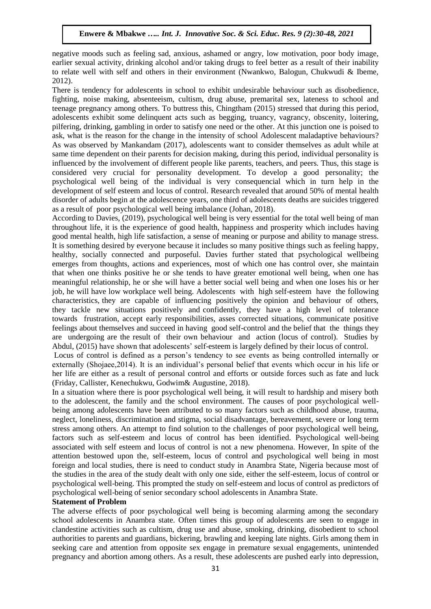negative moods such as feeling sad, anxious, ashamed or angry, low motivation, poor body image, earlier sexual activity, drinking alcohol and/or taking drugs to feel better as a result of their inability to relate well with self and others in their environment (Nwankwo, Balogun, Chukwudi & Ibeme, 2012).

There is tendency for adolescents in school to exhibit undesirable behaviour such as disobedience, fighting, noise making, absenteeism, cultism, drug abuse, premarital sex, lateness to school and teenage pregnancy among others. To buttress this, Chingtham (2015) stressed that during this period, adolescents exhibit some delinquent acts such as begging, truancy, vagrancy, obscenity, loitering, pilfering, drinking, gambling in order to satisfy one need or the other. At this junction one is poised to ask, what is the reason for the change in the intensity of school Adolescent maladaptive behaviours? As was observed by Mankandam (2017), adolescents want to consider themselves as adult while at same time dependent on their parents for decision making, during this period, individual personality is influenced by the involvement of different people like parents, teachers, and peers. Thus, this stage is considered very crucial for personality development. To develop a good personality; the psychological well being of the individual is very consequencial which in turn help in the development of self esteem and locus of control. Research revealed that around 50% of mental health disorder of adults begin at the adolescence years, one third of adolescents deaths are suicides triggered as a result of poor psychological well being imbalance (Johan, 2018).

According to Davies, (2019), psychological well being is very essential for the total well being of man throughout life, it is the experience of good health, happiness and prosperity which includes having good mental health, high life satisfaction, a sense of meaning or purpose and ability to manage stress. It is something desired by everyone because it includes so many positive things such as feeling happy, healthy, socially connected and purposeful. Davies further stated that psychological wellbeing emerges from thoughts, actions and experiences, most of which one has control over, she maintain that when one thinks positive he or she tends to have greater emotional well being, when one has meaningful relationship, he or she will have a better social well being and when one loses his or her job, he will have low workplace well being. Adolescents with high self-esteem have the following characteristics, they are capable of influencing positively the opinion and behaviour of others, they tackle new situations positively and confidently, they have a high level of tolerance towards frustration, accept early responsibilities, asses corrected situations, communicate positive feelings about themselves and succeed in having good self-control and the belief that the things they are undergoing are the result of their own behaviour and action (locus of control). Studies by Abdul, (2015) have shown that adolescents' self-esteem is largely defined by their locus of control.

Locus of control is defined as a person's tendency to see events as being controlled internally or externally (Shojaee,2014). It is an individual's personal belief that events which occur in his life or her life are either as a result of personal control and efforts or outside forces such as fate and luck (Friday, Callister, Kenechukwu, Godwim& Augustine, 2018).

In a situation where there is poor psychological well being, it will result to hardship and misery both to the adolescent, the family and the school environment. The causes of poor psychological wellbeing among adolescents have been attributed to so many factors such as childhood abuse, trauma, neglect, loneliness, discrimination and stigma, social disadvantage, bereavement, severe or long term stress among others. An attempt to find solution to the challenges of poor psychological well being, factors such as self-esteem and locus of control has been identified. Psychological well-being associated with self esteem and locus of control is not a new phenomena. However, In spite of the attention bestowed upon the, self-esteem, locus of control and psychological well being in most foreign and local studies, there is need to conduct study in Anambra State, Nigeria because most of the studies in the area of the study dealt with only one side, either the self-esteem, locus of control or psychological well-being. This prompted the study on self-esteem and locus of control as predictors of psychological well-being of senior secondary school adolescents in Anambra State.

## **Statement of Problem**

The adverse effects of poor psychological well being is becoming alarming among the secondary school adolescents in Anambra state. Often times this group of adolescents are seen to engage in clandestine activities such as cultism, drug use and abuse, smoking, drinking, disobedient to school authorities to parents and guardians, bickering, brawling and keeping late nights. Girls among them in seeking care and attention from opposite sex engage in premature sexual engagements, unintended pregnancy and abortion among others. As a result, these adolescents are pushed early into depression,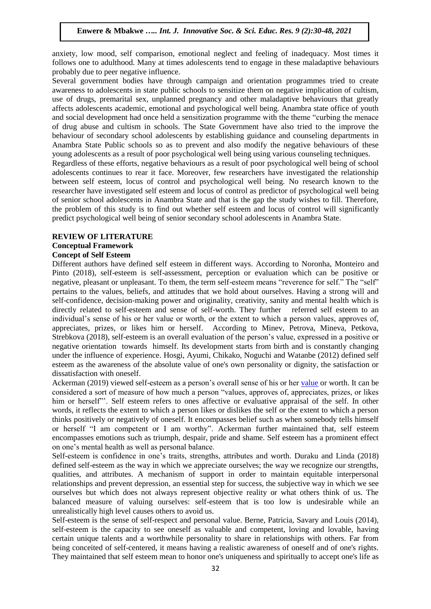anxiety, low mood, self comparison, emotional neglect and feeling of inadequacy. Most times it follows one to adulthood. Many at times adolescents tend to engage in these maladaptive behaviours probably due to peer negative influence.

Several government bodies have through campaign and orientation programmes tried to create awareness to adolescents in state public schools to sensitize them on negative implication of cultism, use of drugs, premarital sex, unplanned pregnancy and other maladaptive behaviours that greatly affects adolescents academic, emotional and psychological well being. Anambra state office of youth and social development had once held a sensitization programme with the theme "curbing the menace of drug abuse and cultism in schools. The State Government have also tried to the improve the behaviour of secondary school adolescents by establishing guidance and counseling departments in Anambra State Public schools so as to prevent and also modify the negative behaviours of these young adolescents as a result of poor psychological well being using various counseling techniques. Regardless of these efforts, negative behaviours as a result of poor psychological well being of school adolescents continues to rear it face. Moreover, few researchers have investigated the relationship between self esteem, locus of control and psychological well being. No research known to the researcher have investigated self esteem and locus of control as predictor of psychological well being of senior school adolescents in Anambra State and that is the gap the study wishes to fill. Therefore, the problem of this study is to find out whether self esteem and locus of control will significantly predict psychological well being of senior secondary school adolescents in Anambra State.

## **REVIEW OF LITERATURE**

## **Conceptual Framework**

## **Concept of Self Esteem**

Different authors have defined self esteem in different ways. According to Noronha, Monteiro and Pinto (2018), self-esteem is self-assessment, perception or evaluation which can be positive or negative, pleasant or unpleasant. To them, the term self-esteem means "reverence for self." The "self" pertains to the values, beliefs, and attitudes that we hold about ourselves. Having a strong will and self-confidence, decision-making power and originality, creativity, sanity and mental health which is directly related to self-esteem and sense of self-worth. They further referred self esteem to an individual's sense of his or her value or worth, or the extent to which a person values, approves of, appreciates, prizes, or likes him or herself. According to Minev, Petrova, Mineva, Petkova, Strebkova (2018), self-esteem is an overall evaluation of the person's value, expressed in a positive or negative orientation towards himself. Its development starts from birth and is constantly changing under the influence of experience. Hosgi, Ayumi, Chikako, Noguchi and Watanbe (2012) defined self esteem as the awareness of the absolute value of one's own personality or dignity, the satisfaction or dissatisfaction with oneself.

Ackerman (2019) viewed self-esteem as a person's overall sense of his or her [value](https://positivepsychology.com/values-clarification/) or worth. It can be considered a sort of measure of how much a person "values, approves of, appreciates, prizes, or likes him or herself"'. Self esteem refers to ones affective or evaluative appraisal of the self. In other words, it reflects the extent to which a person likes or dislikes the self or the extent to which a person thinks positively or negatively of oneself. It encompasses belief such as when somebody tells himself or herself "I am competent or I am worthy". Ackerman further maintained that, self esteem encompasses emotions such as triumph, despair, pride and shame. Self esteem has a prominent effect on one's mental health as well as personal balance.

Self-esteem is confidence in one's traits, strengths, attributes and worth. Duraku and Linda (2018) defined self-esteem as the way in which we appreciate ourselves; the way we recognize our strengths, qualities, and attributes. A mechanism of support in order to maintain equitable interpersonal relationships and prevent depression, an essential step for success, the subjective way in which we see ourselves but which does not always represent objective reality or what others think of us. The balanced measure of valuing ourselves: self-esteem that is too low is undesirable while an unrealistically high level causes others to avoid us.

Self-esteem is the sense of self-respect and personal value. Berne, Patricia, Savary and Louis (2014), self-esteem is the capacity to see oneself as valuable and competent, loving and lovable, having certain unique talents and a worthwhile personality to share in relationships with others. Far from being conceited of self-centered, it means having a realistic awareness of oneself and of one's rights. They maintained that self esteem mean to honor one's uniqueness and spiritually to accept one's life as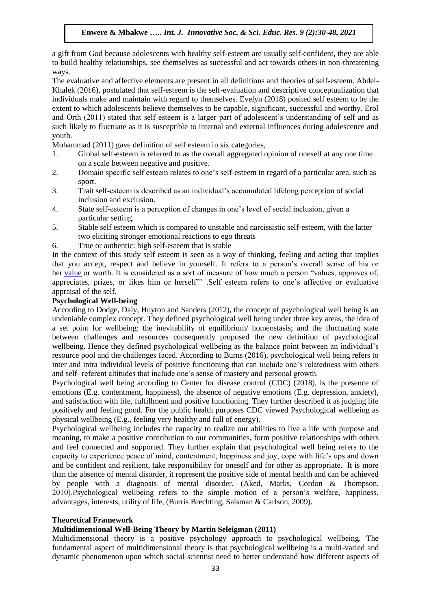a gift from God because adolescents with healthy self-esteem are usually self-confident, they are able to build healthy relationships, see themselves as successful and act towards others in non-threatening ways.

The evaluative and affective elements are present in all definitions and theories of self-esteem. Abdel-Khalek (2016), postulated that self-esteem is the self-evaluation and descriptive conceptualization that individuals make and maintain with regard to themselves. Evelyn (2018) posited self esteem to be the extent to which adolescents believe themselves to be capable, significant, successful and worthy. Erol and Orth (2011) stated that self esteem is a larger part of adolescent's understanding of self and as such likely to fluctuate as it is susceptible to internal and external influences during adolescence and youth.

Mohammad (2011) gave definition of self esteem in six categories,

- 1. Global self-esteem is referred to as the overall aggregated opinion of oneself at any one time on a scale between negative and positive.
- 2. Domain specific self esteem relates to one's self-esteem in regard of a particular area, such as sport.
- 3. Trait self-esteem is described as an individual's accumulated lifelong perception of social inclusion and exclusion.
- 4. State self-esteem is a perception of changes in one's level of social inclusion, given a particular setting.
- 5. Stable self esteem which is compared to unstable and narcissistic self-esteem, with the latter two eliciting stronger emotional reactions to ego threats
- 6. True or authentic: high self-esteem that is stable

In the context of this study self esteem is seen as a way of thinking, feeling and acting that implies that you accept, respect and believe in yourself. It refers to a person's overall sense of his or her [value](https://positivepsychology.com/values-clarification/) or worth. It is considered as a sort of measure of how much a person "values, approves of, appreciates, prizes, or likes him or herself"' .Self esteem refers to one's affective or evaluative appraisal of the self.

## **Psychological Well-being**

According to Dodge, Daly, Huyton and Sanders (2012), the concept of psychological well being is an undeniable complex concept. They defined psychological well being under three key areas, the idea of a set point for wellbeing: the inevitability of equilibrium/ homeostasis; and the fluctuating state between challenges and resources consequently proposed the new definition of psychological wellbeing. Hence they defined psychological wellbeing as the balance point between an individual's resource pool and the challenges faced. According to Burns (2016), psychological well being refers to inter and intra individual levels of positive functioning that can include one's relatedness with others and self- referent altitudes that include one's sense of mastery and personal growth.

Psychological well being according to Center for disease control (CDC) (2018), is the presence of emotions (E.g. contentment, happiness), the absence of negative emotions (E.g. depression, anxiety), and satisfaction with life, fulfillment and positive functioning. They further described it as judging life positively and feeling good. For the public health purposes CDC viewed Psychological wellbeing as physical wellbeing (E.g., feeling very healthy and full of energy).

Psychological wellbeing includes the capacity to realize our abilities to live a life with purpose and meaning, to make a positive contribution to our communities, form positive relationships with others and feel connected and supported. They further explain that psychological well being refers to the capacity to experience peace of mind, contentment, happiness and joy, cope with life's ups and down and be confident and resilient, take responsibility for oneself and for other as appropriate. It is more than the absence of mental disorder, it represent the positive side of mental health and can be achieved by people with a diagnosis of mental disorder. (Aked, Marks, Cordon & Thompson, 2010).Psychological wellbeing refers to the simple motion of a person's welfare, happiness, advantages, interests, utility of life, (Burris Brechting, Salsman & Carlson, 2009).

## **Theoretical Framework**

## **Multidimensional Well-Being Theory by Martin Seleigman (2011)**

Multidimensional theory is a positive psychology approach to psychological wellbeing. The fundamental aspect of multidimensional theory is that psychological wellbeing is a multi-varied and dynamic phenomenon upon which social scientist need to better understand how different aspects of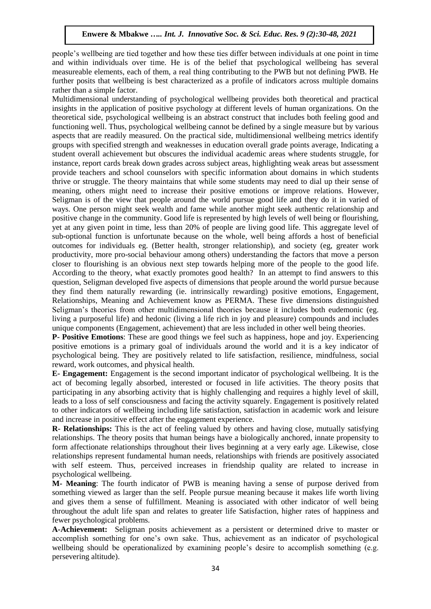people's wellbeing are tied together and how these ties differ between individuals at one point in time and within individuals over time. He is of the belief that psychological wellbeing has several measureable elements, each of them, a real thing contributing to the PWB but not defining PWB. He further posits that wellbeing is best characterized as a profile of indicators across multiple domains rather than a simple factor.

Multidimensional understanding of psychological wellbeing provides both theoretical and practical insights in the application of positive psychology at different levels of human organizations. On the theoretical side, psychological wellbeing is an abstract construct that includes both feeling good and functioning well. Thus, psychological wellbeing cannot be defined by a single measure but by various aspects that are readily measured. On the practical side, multidimensional wellbeing metrics identify groups with specified strength and weaknesses in education overall grade points average, Indicating a student overall achievement but obscures the individual academic areas where students struggle, for instance, report cards break down grades across subject areas, highlighting weak areas but assessment provide teachers and school counselors with specific information about domains in which students thrive or struggle. The theory maintains that while some students may need to dial up their sense of meaning, others might need to increase their positive emotions or improve relations. However, Seligman is of the view that people around the world pursue good life and they do it in varied of ways. One person might seek wealth and fame while another might seek authentic relationship and positive change in the community. Good life is represented by high levels of well being or flourishing, yet at any given point in time, less than 20% of people are living good life. This aggregate level of sub-optional function is unfortunate because on the whole, well being affords a host of beneficial outcomes for individuals eg. (Better health, stronger relationship), and society (eg, greater work productivity, more pro-social behaviour among others) understanding the factors that move a person closer to flourishing is an obvious next step towards helping more of the people to the good life. According to the theory, what exactly promotes good health? In an attempt to find answers to this question, Seligman developed five aspects of dimensions that people around the world pursue because they find them naturally rewarding (ie. intrinsically rewarding) positive emotions, Engagement, Relationships, Meaning and Achievement know as PERMA. These five dimensions distinguished Seligman's theories from other multidimensional theories because it includes both eudemonic (eg. living a purposeful life) and hedonic (living a life rich in joy and pleasure) compounds and includes unique components (Engagement, achievement) that are less included in other well being theories.

**P- Positive Emotions**: These are good things we feel such as happiness, hope and joy. Experiencing positive emotions is a primary goal of individuals around the world and it is a key indicator of psychological being. They are positively related to life satisfaction, resilience, mindfulness, social reward, work outcomes, and physical health.

**E- Engagement:** Engagement is the second important indicator of psychological wellbeing. It is the act of becoming legally absorbed, interested or focused in life activities. The theory posits that participating in any absorbing activity that is highly challenging and requires a highly level of skill, leads to a loss of self consciousness and facing the activity squarely. Engagement is positively related to other indicators of wellbeing including life satisfaction, satisfaction in academic work and leisure and increase in positive effect after the engagement experience.

**R- Relationships:** This is the act of feeling valued by others and having close, mutually satisfying relationships. The theory posits that human beings have a biologically anchored, innate propensity to form affectionate relationships throughout their lives beginning at a very early age. Likewise, close relationships represent fundamental human needs, relationships with friends are positively associated with self esteem. Thus, perceived increases in friendship quality are related to increase in psychological wellbeing.

**M- Meaning**: The fourth indicator of PWB is meaning having a sense of purpose derived from something viewed as larger than the self. People pursue meaning because it makes life worth living and gives them a sense of fulfillment. Meaning is associated with other indicator of well being throughout the adult life span and relates to greater life Satisfaction, higher rates of happiness and fewer psychological problems.

**A-Achievement:** Seligman posits achievement as a persistent or determined drive to master or accomplish something for one's own sake. Thus, achievement as an indicator of psychological wellbeing should be operationalized by examining people's desire to accomplish something (e.g. persevering altitude).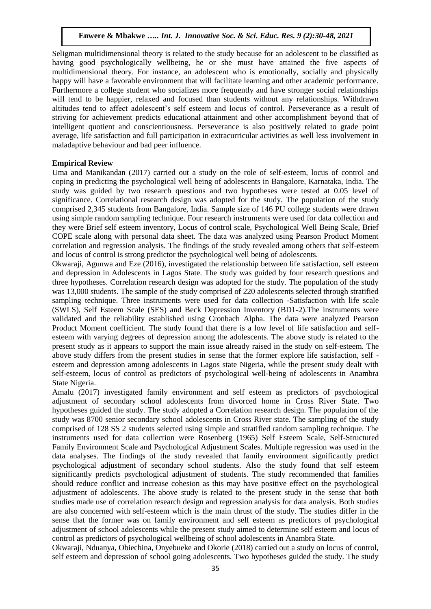Seligman multidimensional theory is related to the study because for an adolescent to be classified as having good psychologically wellbeing, he or she must have attained the five aspects of multidimensional theory. For instance, an adolescent who is emotionally, socially and physically happy will have a favorable environment that will facilitate learning and other academic performance. Furthermore a college student who socializes more frequently and have stronger social relationships will tend to be happier, relaxed and focused than students without any relationships. Withdrawn altitudes tend to affect adolescent's self esteem and locus of control. Perseverance as a result of striving for achievement predicts educational attainment and other accomplishment beyond that of intelligent quotient and conscientiousness. Perseverance is also positively related to grade point average, life satisfaction and full participation in extracurricular activities as well less involvement in maladaptive behaviour and bad peer influence.

## **Empirical Review**

Uma and Manikandan (2017) carried out a study on the role of self-esteem, locus of control and coping in predicting the psychological well being of adolescents in Bangalore, Karnataka, India. The study was guided by two research questions and two hypotheses were tested at 0.05 level of significance. Correlational research design was adopted for the study. The population of the study comprised 2,345 students from Bangalore, India. Sample size of 146 PU college students were drawn using simple random sampling technique. Four research instruments were used for data collection and they were Brief self esteem inventory, Locus of control scale, Psychological Well Being Scale, Brief COPE scale along with personal data sheet. The data was analyzed using Pearson Product Moment correlation and regression analysis. The findings of the study revealed among others that self-esteem and locus of control is strong predictor the psychological well being of adolescents.

Okwaraji, Agunwa and Eze (2016), investigated the relationship between life satisfaction, self esteem and depression in Adolescents in Lagos State. The study was guided by four research questions and three hypotheses. Correlation research design was adopted for the study. The population of the study was 13,000 students. The sample of the study comprised of 220 adolescents selected through stratified sampling technique. Three instruments were used for data collection -Satisfaction with life scale (SWLS), Self Esteem Scale (SES) and Beck Depression Inventory (BD1-2).The instruments were validated and the reliability established using Cronbach Alpha. The data were analyzed Pearson Product Moment coefficient. The study found that there is a low level of life satisfaction and selfesteem with varying degrees of depression among the adolescents. The above study is related to the present study as it appears to support the main issue already raised in the study on self-esteem. The above study differs from the present studies in sense that the former explore life satisfaction, self esteem and depression among adolescents in Lagos state Nigeria, while the present study dealt with self-esteem, locus of control as predictors of psychological well-being of adolescents in Anambra State Nigeria.

Amalu (2017) investigated family environment and self esteem as predictors of psychological adjustment of secondary school adolescents from divorced home in Cross River State. Two hypotheses guided the study. The study adopted a Correlation research design. The population of the study was 8700 senior secondary school adolescents in Cross River state. The sampling of the study comprised of 128 SS 2 students selected using simple and stratified random sampling technique. The instruments used for data collection were Rosenberg (1965) Self Esteem Scale, Self-Structured Family Environment Scale and Psychological Adjustment Scales. Multiple regression was used in the data analyses. The findings of the study revealed that family environment significantly predict psychological adjustment of secondary school students. Also the study found that self esteem significantly predicts psychological adjustment of students. The study recommended that families should reduce conflict and increase cohesion as this may have positive effect on the psychological adjustment of adolescents. The above study is related to the present study in the sense that both studies made use of correlation research design and regression analysis for data analysis. Both studies are also concerned with self-esteem which is the main thrust of the study. The studies differ in the sense that the former was on family environment and self esteem as predictors of psychological adjustment of school adolescents while the present study aimed to determine self esteem and locus of control as predictors of psychological wellbeing of school adolescents in Anambra State.

Okwaraji, Nduanya, Obiechina, Onyebueke and Okorie (2018) carried out a study on locus of control, self esteem and depression of school going adolescents. Two hypotheses guided the study. The study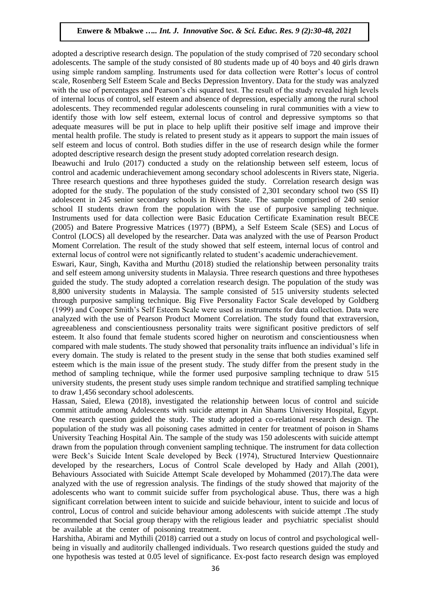adopted a descriptive research design. The population of the study comprised of 720 secondary school adolescents. The sample of the study consisted of 80 students made up of 40 boys and 40 girls drawn using simple random sampling. Instruments used for data collection were Rotter's locus of control scale, Rosenberg Self Esteem Scale and Becks Depression Inventory. Data for the study was analyzed with the use of percentages and Pearson's chi squared test. The result of the study revealed high levels of internal locus of control, self esteem and absence of depression, especially among the rural school adolescents. They recommended regular adolescents counseling in rural communities with a view to identify those with low self esteem, external locus of control and depressive symptoms so that adequate measures will be put in place to help uplift their positive self image and improve their mental health profile. The study is related to present study as it appears to support the main issues of self esteem and locus of control. Both studies differ in the use of research design while the former adopted descriptive research design the present study adopted correlation research design.

Ibeawuchi and Irulo (2017) conducted a study on the relationship between self esteem, locus of control and academic underachievement among secondary school adolescents in Rivers state, Nigeria. Three research questions and three hypotheses guided the study. Correlation research design was adopted for the study. The population of the study consisted of 2,301 secondary school two (SS II) adolescent in 245 senior secondary schools in Rivers State. The sample comprised of 240 senior school II students drawn from the population with the use of purposive sampling technique. Instruments used for data collection were Basic Education Certificate Examination result BECE (2005) and Batere Progressive Matrices (1977) (BPM), a Self Esteem Scale (SES) and Locus of Control (LOCS) all developed by the researcher. Data was analyzed with the use of Pearson Product Moment Correlation. The result of the study showed that self esteem, internal locus of control and external locus of control were not significantly related to student's academic underachievement.

Eswari, Kaur, Singh, Kavitha and Murthu (2018) studied the relationship between personality traits and self esteem among university students in Malaysia. Three research questions and three hypotheses guided the study. The study adopted a correlation research design. The population of the study was 8,800 university students in Malaysia. The sample consisted of 515 university students selected through purposive sampling technique. Big Five Personality Factor Scale developed by Goldberg (1999) and Cooper Smith's Self Esteem Scale were used as instruments for data collection. Data were analyzed with the use of Pearson Product Moment Correlation. The study found that extraversion, agreeableness and conscientiousness personality traits were significant positive predictors of self esteem. It also found that female students scored higher on neurotism and conscientiousness when compared with male students. The study showed that personality traits influence an individual's life in every domain. The study is related to the present study in the sense that both studies examined self esteem which is the main issue of the present study. The study differ from the present study in the method of sampling technique, while the former used purposive sampling technique to draw 515 university students, the present study uses simple random technique and stratified sampling technique to draw 1,456 secondary school adolescents.

Hassan, Saied, Elewa (2018), investigated the relationship between locus of control and suicide commit attitude among Adolescents with suicide attempt in Ain Shams University Hospital, Egypt. One research question guided the study. The study adopted a co-relational research design. The population of the study was all poisoning cases admitted in center for treatment of poison in Shams University Teaching Hospital Ain. The sample of the study was 150 adolescents with suicide attempt drawn from the population through convenient sampling technique. The instrument for data collection were Beck's Suicide Intent Scale developed by Beck (1974), Structured Interview Questionnaire developed by the researchers, Locus of Control Scale developed by Hady and Allah (2001), Behaviours Associated with Suicide Attempt Scale developed by Mohammed (2017).The data were analyzed with the use of regression analysis. The findings of the study showed that majority of the adolescents who want to commit suicide suffer from psychological abuse. Thus, there was a high significant correlation between intent to suicide and suicide behaviour, intent to suicide and locus of control, Locus of control and suicide behaviour among adolescents with suicide attempt .The study recommended that Social group therapy with the religious leader and psychiatric specialist should be available at the center of poisoning treatment.

Harshitha, Abirami and Mythili (2018) carried out a study on locus of control and psychological wellbeing in visually and auditorily challenged individuals. Two research questions guided the study and one hypothesis was tested at 0.05 level of significance. Ex-post facto research design was employed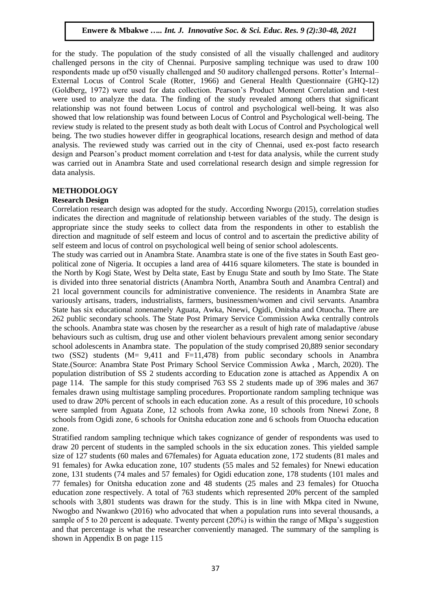for the study. The population of the study consisted of all the visually challenged and auditory challenged persons in the city of Chennai. Purposive sampling technique was used to draw 100 respondents made up of50 visually challenged and 50 auditory challenged persons. Rotter's Internal– External Locus of Control Scale (Rotter, 1966) and General Health Questionnaire (GHQ-12) (Goldberg, 1972) were used for data collection. Pearson's Product Moment Correlation and t-test were used to analyze the data. The finding of the study revealed among others that significant relationship was not found between Locus of control and psychological well-being. It was also showed that low relationship was found between Locus of Control and Psychological well-being. The review study is related to the present study as both dealt with Locus of Control and Psychological well being. The two studies however differ in geographical locations, research design and method of data analysis. The reviewed study was carried out in the city of Chennai, used ex-post facto research design and Pearson's product moment correlation and t-test for data analysis, while the current study was carried out in Anambra State and used correlational research design and simple regression for data analysis.

# **METHODOLOGY**

## **Research Design**

Correlation research design was adopted for the study. According Nworgu (2015), correlation studies indicates the direction and magnitude of relationship between variables of the study. The design is appropriate since the study seeks to collect data from the respondents in other to establish the direction and magnitude of self esteem and locus of control and to ascertain the predictive ability of self esteem and locus of control on psychological well being of senior school adolescents.

The study was carried out in Anambra State. Anambra state is one of the five states in South East geopolitical zone of Nigeria. It occupies a land area of 4416 square kilometers. The state is bounded in the North by Kogi State, West by Delta state, East by Enugu State and south by Imo State. The State is divided into three senatorial districts (Anambra North, Anambra South and Anambra Central) and 21 local government councils for administrative convenience. The residents in Anambra State are variously artisans, traders, industrialists, farmers, businessmen/women and civil servants. Anambra State has six educational zonenamely Aguata, Awka, Nnewi, Ogidi, Onitsha and Otuocha. There are 262 public secondary schools. The State Post Primary Service Commission Awka centrally controls the schools. Anambra state was chosen by the researcher as a result of high rate of maladaptive /abuse behaviours such as cultism, drug use and other violent behaviours prevalent among senior secondary school adolescents in Anambra state. The population of the study comprised 20,889 senior secondary two (SS2) students (M= 9,411 and F=11,478) from public secondary schools in Anambra State.(Source: Anambra State Post Primary School Service Commission Awka , March, 2020). The population distribution of SS 2 students according to Education zone is attached as Appendix A on page 114. The sample for this study comprised 763 SS 2 students made up of 396 males and 367 females drawn using multistage sampling procedures. Proportionate random sampling technique was used to draw 20% percent of schools in each education zone. As a result of this procedure, 10 schools were sampled from Aguata Zone, 12 schools from Awka zone, 10 schools from Nnewi Zone, 8 schools from Ogidi zone, 6 schools for Onitsha education zone and 6 schools from Otuocha education zone.

Stratified random sampling technique which takes cognizance of gender of respondents was used to draw 20 percent of students in the sampled schools in the six education zones. This yielded sample size of 127 students (60 males and 67females) for Aguata education zone, 172 students (81 males and 91 females) for Awka education zone, 107 students (55 males and 52 females) for Nnewi education zone, 131 students (74 males and 57 females) for Ogidi education zone, 178 students (101 males and 77 females) for Onitsha education zone and 48 students (25 males and 23 females) for Otuocha education zone respectively. A total of 763 students which represented 20% percent of the sampled schools with 3,801 students was drawn for the study. This is in line with Mkpa cited in Nwune, Nwogbo and Nwankwo (2016) who advocated that when a population runs into several thousands, a sample of 5 to 20 percent is adequate. Twenty percent (20%) is within the range of Mkpa's suggestion and that percentage is what the researcher conveniently managed. The summary of the sampling is shown in Appendix B on page 115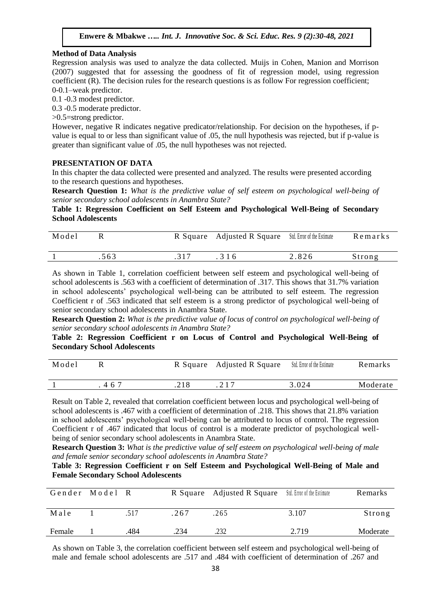## **Method of Data Analysis**

Regression analysis was used to analyze the data collected. Muijs in Cohen, Manion and Morrison (2007) suggested that for assessing the goodness of fit of regression model, using regression coefficient (R). The decision rules for the research questions is as follow For regression coefficient; 0-0.1–weak predictor.

0.1 -0.3 modest predictor.

0.3 -0.5 moderate predictor.

>0.5=strong predictor.

However, negative R indicates negative predicator/relationship. For decision on the hypotheses, if pvalue is equal to or less than significant value of .05, the null hypothesis was rejected, but if p-value is greater than significant value of .05, the null hypotheses was not rejected.

## **PRESENTATION OF DATA**

In this chapter the data collected were presented and analyzed. The results were presented according to the research questions and hypotheses.

**Research Question 1:** *What is the predictive value of self esteem on psychological well-being of senior secondary school adolescents in Anambra State?*

**Table 1: Regression Coefficient on Self Esteem and Psychological Well-Being of Secondary School Adolescents** 

| Model |      | R Square Adjusted R Square Std. Error of the Estimate |       | Remarks |
|-------|------|-------------------------------------------------------|-------|---------|
|       | .563 | . 3 1 6                                               | 2.826 | Strong  |

As shown in Table 1, correlation coefficient between self esteem and psychological well-being of school adolescents is .563 with a coefficient of determination of .317. This shows that 31.7% variation in school adolescents' psychological well-being can be attributed to self esteem. The regression Coefficient r of .563 indicated that self esteem is a strong predictor of psychological well-being of senior secondary school adolescents in Anambra State.

**Research Question 2:** *What is the predictive value of locus of control on psychological well-being of senior secondary school adolescents in Anambra State?*

**Table 2: Regression Coefficient r on Locus of Control and Psychological Well-Being of Secondary School Adolescents** 

| Model |    |      | R Square Adjusted R Square | Std. Error of the Estimate | Remarks  |
|-------|----|------|----------------------------|----------------------------|----------|
|       | 46 | .218 |                            | 3.024                      | Moderate |

Result on Table 2, revealed that correlation coefficient between locus and psychological well-being of school adolescents is .467 with a coefficient of determination of .218. This shows that 21.8% variation in school adolescents' psychological well-being can be attributed to locus of control. The regression Coefficient r of .467 indicated that locus of control is a moderate predictor of psychological wellbeing of senior secondary school adolescents in Anambra State.

**Research Question 3:** *What is the predictive value of self esteem on psychological well-being of male and female senior secondary school adolescents in Anambra State?*

## **Table 3: Regression Coefficient r on Self Esteem and Psychological Well-Being of Male and Female Secondary School Adolescents**

| Gender Model R |      |      | R Square Adjusted R Square Std. Error of the Estimate |       | Remarks  |
|----------------|------|------|-------------------------------------------------------|-------|----------|
| Male           | .517 | .267 | .265                                                  | 3.107 | Strong   |
| Female         | .484 | .234 | .232                                                  | 2.719 | Moderate |

As shown on Table 3, the correlation coefficient between self esteem and psychological well-being of male and female school adolescents are .517 and .484 with coefficient of determination of .267 and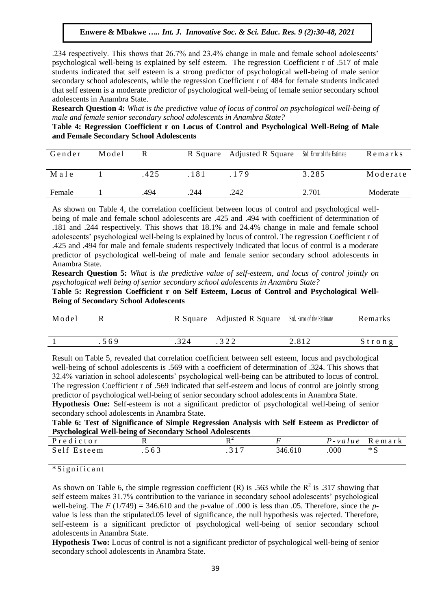.234 respectively. This shows that 26.7% and 23.4% change in male and female school adolescents' psychological well-being is explained by self esteem. The regression Coefficient r of .517 of male students indicated that self esteem is a strong predictor of psychological well-being of male senior secondary school adolescents, while the regression Coefficient r of 484 for female students indicated that self esteem is a moderate predictor of psychological well-being of female senior secondary school adolescents in Anambra State.

**Research Question 4:** *What is the predictive value of locus of control on psychological well-being of male and female senior secondary school adolescents in Anambra State?*

**Table 4: Regression Coefficient r on Locus of Control and Psychological Well-Being of Male and Female Secondary School Adolescents** 

| Gender | Model | R    |      | R Square Adjusted R Square | Std. Error of the Estimate | Remarks  |
|--------|-------|------|------|----------------------------|----------------------------|----------|
| Male   |       | .425 | 181  | 179                        | 3.285                      | Moderate |
| Female |       | .494 | .244 | .242                       | 2.701                      | Moderate |

As shown on Table 4, the correlation coefficient between locus of control and psychological wellbeing of male and female school adolescents are .425 and .494 with coefficient of determination of .181 and .244 respectively. This shows that 18.1% and 24.4% change in male and female school adolescents' psychological well-being is explained by locus of control. The regression Coefficient r of .425 and .494 for male and female students respectively indicated that locus of control is a moderate predictor of psychological well-being of male and female senior secondary school adolescents in Anambra State.

**Research Question 5:** *What is the predictive value of self-esteem, and locus of control jointly on psychological well being of senior secondary school adolescents in Anambra State?*

**Table 5: Regression Coefficient r on Self Esteem, Locus of Control and Psychological Well-Being of Secondary School Adolescents**

| Model |     | R Square Adjusted R Square Std. Error of the Estimate |       | Remarks   |
|-------|-----|-------------------------------------------------------|-------|-----------|
|       | 569 |                                                       | 2.812 | $S$ trong |

Result on Table 5, revealed that correlation coefficient between self esteem, locus and psychological well-being of school adolescents is .569 with a coefficient of determination of .324. This shows that 32.4% variation in school adolescents' psychological well-being can be attributed to locus of control. The regression Coefficient r of .569 indicated that self-esteem and locus of control are jointly strong predictor of psychological well-being of senior secondary school adolescents in Anambra State.

**Hypothesis One:** Self-esteem is not a significant predictor of psychological well-being of senior secondary school adolescents in Anambra State.

**Table 6: Test of Significance of Simple Regression Analysis with Self Esteem as Predictor of Psychological Well-being of Secondary School Adolescents** 

| Predictor   |     |         | $P$ -value | Remark |
|-------------|-----|---------|------------|--------|
| Self Esteem | 563 | 346.610 | .000       | $*S$   |

\* S i g n i f i c a n t

As shown on Table 6, the simple regression coefficient (R) is .563 while the  $R^2$  is .317 showing that self esteem makes 31.7% contribution to the variance in secondary school adolescents' psychological well-being. The *F* ( $1/749$ ) = 346.610 and the *p*-value of .000 is less than .05. Therefore, since the *p*value is less than the stipulated.05 level of significance, the null hypothesis was rejected. Therefore, self-esteem is a significant predictor of psychological well-being of senior secondary school adolescents in Anambra State.

**Hypothesis Two:** Locus of control is not a significant predictor of psychological well-being of senior secondary school adolescents in Anambra State.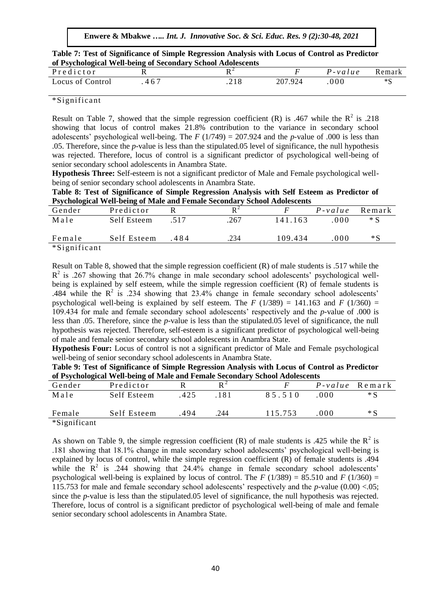**Enwere & Mbakwe** *….. Int. J. Innovative Soc. & Sci. Educ. Res. 9 (2):30-48, 2021*

|                                                             | Table 7: Test of Significance of Simple Regression Analysis with Locus of Control as Predictor |
|-------------------------------------------------------------|------------------------------------------------------------------------------------------------|
| of Psychological Well-being of Secondary School Adolescents |                                                                                                |

| Predictor        |       |         | $P$ -value | Remark |
|------------------|-------|---------|------------|--------|
| Locus of Control | $46-$ | 207.924 | 000        | ∗€     |

## \*Significant

Result on Table 7, showed that the simple regression coefficient (R) is .467 while the  $R^2$  is .218 showing that locus of control makes 21.8% contribution to the variance in secondary school adolescents' psychological well-being. The *F* (1/749) = 207.924 and the *p-*value of .000 is less than .05. Therefore, since the *p-*value is less than the stipulated.05 level of significance, the null hypothesis was rejected. Therefore, locus of control is a significant predictor of psychological well-being of senior secondary school adolescents in Anambra State.

**Hypothesis Three:** Self-esteem is not a significant predictor of Male and Female psychological wellbeing of senior secondary school adolescents in Anambra State.

**Table 8: Test of Significance of Simple Regression Analysis with Self Esteem as Predictor of Psychological Well-being of Male and Female Secondary School Adolescents** 

| Gender       | Predictor   |        |      |         | $P$ -value | Remark |
|--------------|-------------|--------|------|---------|------------|--------|
| Male         | Self Esteem | 517    | .267 | 141.163 | .000       | $*S$   |
| Female       | Self Esteem | $-484$ | .234 | 109.434 | .000       | *S     |
| *Significant |             |        |      |         |            |        |

Result on Table 8, showed that the simple regression coefficient (R) of male students is .517 while the  $R<sup>2</sup>$  is .267 showing that 26.7% change in male secondary school adolescents' psychological wellbeing is explained by self esteem, while the simple regression coefficient (R) of female students is .484 while the  $R^2$  is .234 showing that 23.4% change in female secondary school adolescents' psychological well-being is explained by self esteem. The  $F(1/389) = 141.163$  and  $F(1/360) =$ 109.434 for male and female secondary school adolescents' respectively and the *p-*value of .000 is less than .05. Therefore, since the *p-*value is less than the stipulated.05 level of significance, the null hypothesis was rejected. Therefore, self-esteem is a significant predictor of psychological well-being of male and female senior secondary school adolescents in Anambra State.

**Hypothesis Four:** Locus of control is not a significant predictor of Male and Female psychological well-being of senior secondary school adolescents in Anambra State.

| Table 9: Test of Significance of Simple Regression Analysis with Locus of Control as Predictor |
|------------------------------------------------------------------------------------------------|
| of Psychological Well-being of Male and Female Secondary School Adolescents                    |

|              |             |      |      | of Taychological with being of mane and I email becommity behoof raorescents |      |                       |
|--------------|-------------|------|------|------------------------------------------------------------------------------|------|-----------------------|
| Gender       | Predictor   |      |      |                                                                              |      | <i>P-value</i> Remark |
| Male         | Self Esteem | .425 | 181  | 85.510                                                                       | .000 | $*S$                  |
| Female       | Self Esteem | 494  | .244 | 115.753                                                                      | 000  | $*S$                  |
| *Significant |             |      |      |                                                                              |      |                       |

As shown on Table 9, the simple regression coefficient (R) of male students is .425 while the  $R^2$  is .181 showing that 18.1% change in male secondary school adolescents' psychological well-being is explained by locus of control, while the simple regression coefficient (R) of female students is .494 while the  $R^2$  is .244 showing that 24.4% change in female secondary school adolescents' psychological well-being is explained by locus of control. The *F* (1/389) = 85.510 and *F* (1/360) = 115.753 for male and female secondary school adolescents' respectively and the *p-*value (0.00) <.05; since the *p-*value is less than the stipulated.05 level of significance, the null hypothesis was rejected. Therefore, locus of control is a significant predictor of psychological well-being of male and female senior secondary school adolescents in Anambra State.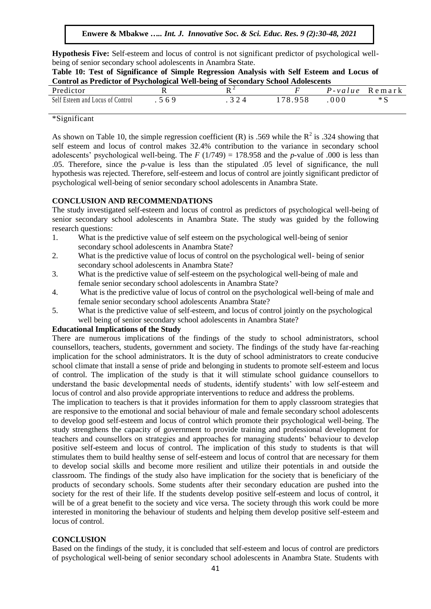**Hypothesis Five:** Self-esteem and locus of control is not significant predictor of psychological wellbeing of senior secondary school adolescents in Anambra State.

| Table 10: Test of Significance of Simple Regression Analysis with Self Esteem and Locus of |  |
|--------------------------------------------------------------------------------------------|--|
| <b>Control as Predictor of Psychological Well-being of Secondary School Adolescents</b>    |  |

| U VAAVA VA WU A A WWAWFVA UA A U I WAAVAUWAYNA 'I WAA IN WAARD UA IN WYNAMWA |    | --------------------- |            |        |
|------------------------------------------------------------------------------|----|-----------------------|------------|--------|
| Predictor                                                                    |    |                       | $P$ -value | Remark |
| Self Esteem and Locus of Control                                             | 69 | 78.958                | 000        | $*$ C  |

## \*Significant

As shown on Table 10, the simple regression coefficient (R) is .569 while the  $R^2$  is .324 showing that self esteem and locus of control makes 32.4% contribution to the variance in secondary school adolescents' psychological well-being. The  $F(1/749) = 178.958$  and the *p*-value of .000 is less than .05. Therefore, since the *p-*value is less than the stipulated .05 level of significance, the null hypothesis was rejected. Therefore, self-esteem and locus of control are jointly significant predictor of psychological well-being of senior secondary school adolescents in Anambra State.

#### **CONCLUSION AND RECOMMENDATIONS**

The study investigated self-esteem and locus of control as predictors of psychological well-being of senior secondary school adolescents in Anambra State. The study was guided by the following research questions:

- 1. What is the predictive value of self esteem on the psychological well-being of senior secondary school adolescents in Anambra State?
- 2. What is the predictive value of locus of control on the psychological well- being of senior secondary school adolescents in Anambra State?
- 3. What is the predictive value of self-esteem on the psychological well-being of male and female senior secondary school adolescents in Anambra State?
- 4. What is the predictive value of locus of control on the psychological well-being of male and female senior secondary school adolescents Anambra State?
- 5. What is the predictive value of self-esteem, and locus of control jointly on the psychological well being of senior secondary school adolescents in Anambra State?

#### **Educational Implications of the Study**

There are numerous implications of the findings of the study to school administrators, school counsellors, teachers, students, government and society. The findings of the study have far-reaching implication for the school administrators. It is the duty of school administrators to create conducive school climate that install a sense of pride and belonging in students to promote self-esteem and locus of control. The implication of the study is that it will stimulate school guidance counsellors to understand the basic developmental needs of students, identify students' with low self-esteem and locus of control and also provide appropriate interventions to reduce and address the problems.

The implication to teachers is that it provides information for them to apply classroom strategies that are responsive to the emotional and social behaviour of male and female secondary school adolescents to develop good self-esteem and locus of control which promote their psychological well-being. The study strengthens the capacity of government to provide training and professional development for teachers and counsellors on strategies and approaches for managing students' behaviour to develop positive self-esteem and locus of control. The implication of this study to students is that will stimulates them to build healthy sense of self-esteem and locus of control that are necessary for them to develop social skills and become more resilient and utilize their potentials in and outside the classroom. The findings of the study also have implication for the society that is beneficiary of the products of secondary schools. Some students after their secondary education are pushed into the society for the rest of their life. If the students develop positive self-esteem and locus of control, it will be of a great benefit to the society and vice versa. The society through this work could be more interested in monitoring the behaviour of students and helping them develop positive self-esteem and locus of control.

#### **CONCLUSION**

Based on the findings of the study, it is concluded that self-esteem and locus of control are predictors of psychological well-being of senior secondary school adolescents in Anambra State. Students with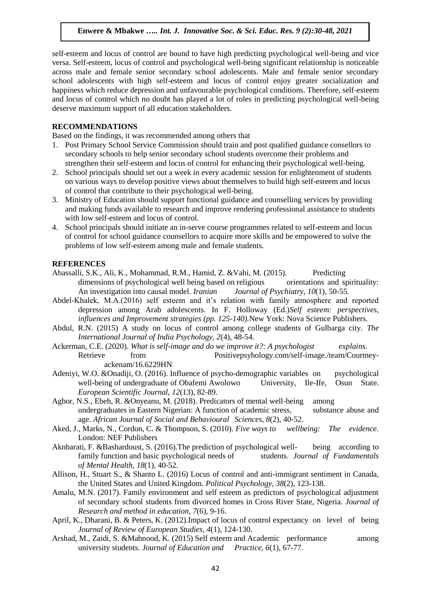self-esteem and locus of control are bound to have high predicting psychological well-being and vice versa. Self-esteem, locus of control and psychological well-being significant relationship is noticeable across male and female senior secondary school adolescents. Male and female senior secondary school adolescents with high self-esteem and locus of control enjoy greater socialization and happiness which reduce depression and unfavourable psychological conditions. Therefore, self-esteem and locus of control which no doubt has played a lot of roles in predicting psychological well-being deserve maximum support of all education stakeholders.

## **RECOMMENDATIONS**

Based on the findings, it was recommended among others that

- 1. Post Primary School Service Commission should train and post qualified guidance consellors to secondary schools to help senior secondary school students overcome their problems and strengthen their self-esteem and locus of control for enhancing their psychological well-being.
- 2. School principals should set out a week in every academic session for enlightenment of students on various ways to develop positive views about themselves to build high self-esteem and locus of control that contribute to their psychological well-being.
- 3. Ministry of Education should support functional guidance and counselling services by providing and making funds available to research and improve rendering professional assistance to students with low self-esteem and locus of control.
- 4. School principals should initiate an in-serve course programmes related to self-esteem and locus of control for school guidance counsellors to acquire more skills and be empowered to solve the problems of low self-esteem among male and female students.

#### **REFERENCES**

- Abassalli, S.K., Ali, K., Mohammad, R.M., Hamid, Z. &Vahi, M. (2015). Predicting dimensions of psychological well being based on religious orientations and spirituality: An investigation into causal model. *Iranian Journal of Psychiatry, 10*(1), 50-55.
- Abdel-Khalek, M.A.(2016) self esteem and it's relation with family atmosphere and reported depression among Arab adolescents. In F. Holloway (Ed.)*Self esteem: perspectives, influences and Improvement strategies (pp. 125-140).*New York: Nova Science Publishers.
- Abdul, R.N. (2015) A study on locus of control among college students of Gulbarga city. *The International Journal of India Psychology, 2*(4), 48-54.
- Ackerman, C.E. (2020). *What is self-image and do we improve it?: A psychologist explains.* Retrieve from Positivepsyhology.com/self-image./team/Courtneyackenam/16.6229HN
- Adeniyi, W.O. &Onadiji, O. (2016). Influence of psycho-demographic variables on psychological well-being of undergraduate of Obafemi Awolowo University, Ile-Ife, Osun State. *European Scientific Journal, 12*(13), 82-89.
- Agbor, N.S., Ebeh, R. &Onyeanu, M. (2018). Predicators of mental well-being among undergraduates in Eastern Nigerian: A function of academic stress, substance abuse and age. *African Journal of Social and Behavioural Sciences, 8*(2), 40-52.
- Aked, J., Marks, N., Cordon, C. & Thompson, S. (2010). *Five ways to wellbeing: The evidence.* London: NEF Publishers
- Aknbarati, F. &Bashardoust, S. (2016).The prediction of psychological well- being according to family function and basic psychological needs of students. *Journal of Fundamentals of Mental Health, 18*(1), 40-52.
- Allison, H., Stuart S., & Shanto L. (2016) Locus of control and anti-immigrant sentiment in Canada, the United States and United Kingdom. *Political Psychology, 38*(2), 123-138.
- Amalu, M.N. (2017). Family environment and self esteem as predictors of psychological adjustment of secondary school students from divorced homes in Cross River State, Nigeria. *Journal of Research and method in education, 7*(6), 9-16.
- April, K., Dharani, B. & Peters, K. (2012).Impact of locus of control expectancy on level of being *Journal of Review of European Studies, 4*(1), 124-130.
- Arshad, M., Zaidi, S. &Mahnood, K. (2015) Self esteem and Academic performance among university students. *Journal of Education and Practice*, *6*(1), 67-77.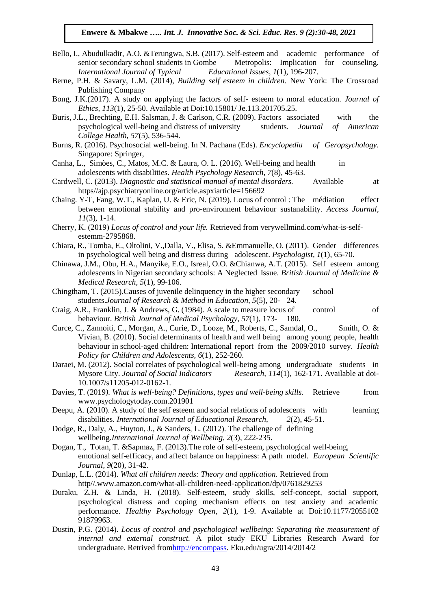- Bello, I., Abudulkadir, A.O. &Terungwa, S.B. (2017). Self-esteem and academic performance of senior secondary school students in Gombe Metropolis: Implication for counseling. *International Journal of Typical Educational Issues, 1*(1), 196-207.
- Berne, P.H. & Savary, L.M. (2014), *Building self esteem in children.* New York: The Crossroad Publishing Company
- Bong, J.K.(2017). A study on applying the factors of self- esteem to moral education. *Journal of Ethics, 113*(1), 25-50. Available at Doi:10.15801/ Je.113.201705.25.
- Buris, J.L., Brechting, E.H. Salsman, J. & Carlson, C.R. (2009). Factors associated with the psychological well-being and distress of university students. *Journal of American College Health, 57*(5), 536-544.
- Burns, R. (2016). Psychosocial well-being. In N. Pachana (Eds). *Encyclopedia of Geropsychology.* Singapore: Springer,
- Canha, L., Simões, C., Matos, M.C. & Laura, O. L. (2016). Well-being and health in adolescents with disabilities. *Health Psychology Research*, *7*(8), 45-63.
- Cardwell, C. (2013). *Diagnostic and statistical manual of mental disorders.* Available at https//ajp.psychiatryonline.org/article.aspxiarticle=156692
- Chaing. Y-T, Fang, W.T., Kaplan, U. & Eric, N. (2019). Locus of control : The médiation effect between emotional stability and pro-environnent behaviour sustanability. *Access Journal, 11*(3), 1-14.
- Cherry, K. (2019) *Locus of control and your life.* Retrieved from verywellmind.com/what-is-selfestemm-2795868.
- Chiara, R., Tomba, E., Oltolini, V.,Dalla, V., Elisa, S. &Emmanuelle, O. (2011). Gender differences in psychological well being and distress during adolescent. *Psychologist, 1*(1), 65-70.
- Chinawa, J.M., Obu, H.A., Manyike, E.O., Isreal, O.O. &Chianwa, A.T. (2015). Self esteem among adolescents in Nigerian secondary schools: A Neglected Issue. *British Journal of Medicine & Medical Research, 5*(1), 99-106.
- Chingtham, T. (2015).Causes of juvenile delinquency in the higher secondary school students.*Journal of Research & Method in Education, 5*(5), 20- 24.
- Craig, A.R., Franklin, J. & Andrews, G. (1984). A scale to measure locus of control of behaviour. *British Journal of Medical Psychology, 57*(1), 173- 180.
- Curce, C., Zannoiti, C., Morgan, A., Curie, D., Looze, M., Roberts, C., Samdal, O., Smith, O. & Vivian, B. (2010). Social determinants of health and well being among young people, health behaviour in school-aged children: International report from the 2009/2010 survey. *Health Policy for Children and Adolescents, 6*(1), 252-260.
- Daraei, M. (2012). Social correlates of psychological well-being among undergraduate students in Mysore City. *Journal of Social Indicators Research, 114*(1), 162-171. Available at doi-10.1007/s11205-012-0162-1.
- Davies, T. (2019*). What is well-being? Definitions, types and well-being skills.* Retrieve from www.psychologytoday.com.201901
- Deepu, A. (2010). A study of the self esteem and social relations of adolescents with learning disabilities. *International Journal of Educational Research, 2*(2), 45-51.
- Dodge, R., Daly, A., Huyton, J., & Sanders, L. (2012). The challenge of defining wellbeing.*International Journal of Wellbeing*, *2*(3), 222-235.
- Dogan, T., Totan, T. &Sapmaz, F. (2013).The role of self-esteem, psychological well-being, emotional self-efficacy, and affect balance on happiness: A path model. *European Scientific Journal, 9*(20), 31-42.
- Dunlap, L.L. (2014). *What all children needs: Theory and application.* Retrieved from http//.www.amazon.com/what-all-children-need-application/dp/0761829253
- Duraku, Z.H. & Linda, H. (2018). Self-esteem, study skills, self-concept, social support, psychological distress and coping mechanism effects on test anxiety and academic performance. *Healthy Psychology Open, 2*(1), 1-9. Available at Doi:10.1177/2055102 91879963.
- Dustin, P.G. (2014). *Locus of control and psychological wellbeing: Separating the measurement of internal and external construct.* A pilot study EKU Libraries Research Award for undergraduate. Retrived fro[mhttp://encompass.](http://encompass/) Eku.edu/ugra/2014/2014/2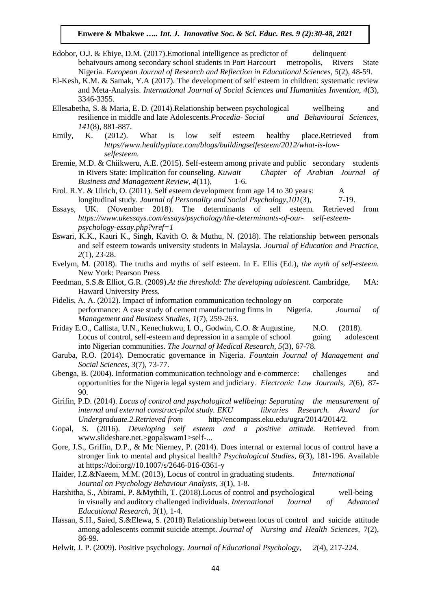- Edobor, O.J. & Ebiye, D.M. (2017). Emotional intelligence as predictor of delinquent behaivours among secondary school students in Port Harcourt metropolis, Rivers State Nigeria. *European Journal of Research and Reflection in Educational Sciences, 5*(2), 48-59.
- El-Kesh, K.M. & Samak, Y.A (2017). The development of self esteem in children: systematic review and Meta-Analysis. *International Journal of Social Sciences and Humanities Invention, 4*(3), 3346-3355.
- Ellesabetha, S. & Maria, E. D. (2014).Relationship between psychological wellbeing and resilience in middle and late Adolescents.*Procedia- Social and Behavioural Sciences, 141*(8), 881-887.
- Emily, K. (2012). What is low self esteem healthy place.Retrieved from *https//www.healthyplace.com/blogs/buildingselfesteem/2012/what-is-lowselfesteem.*
- Eremie, M.D. & Chiikweru, A.E. (2015). Self-esteem among private and public secondary students in Rivers State: Implication for counseling. *Kuwait Chapter of Arabian Journal of Business and Management Review, 4*(11), 1-6.
- Erol. R.Y. & Ulrich, O. (2011). Self esteem development from age 14 to 30 years: A longitudinal study. *Journal of Personality and Social Psychology,101*(3), 7-19.
- Essays, UK. (November 2018). The determinants of self esteem. Retrieved from *https://www.ukessays.com/essays/psychology/the-determinants-of-our- self-esteempsychology-essay.php?vref=1*
- Eswari, K.K., Kauri K., Singh, Kavith O. & Muthu, N. (2018). The relationship between personals and self esteem towards university students in Malaysia. *Journal of Education and Practice, 2*(1), 23-28.
- Evelym, M. (2018). The truths and myths of self esteem. In E. Ellis (Ed.), *the myth of self-esteem.* New York: Pearson Press
- Feedman, S.S.& Elliot, G.R. (2009).*At the threshold: The developing adolescent.* Cambridge, MA: Haward University Press.
- Fidelis, A. A. (2012). Impact of information communication technology on corporate performance: A case study of cement manufacturing firms in Nigeria*. Journal of Management and Business Studies*, *1*(7), 259-263.
- Friday E.O., Callista, U.N., Kenechukwu, I. O., Godwin, C.O. & Augustine, N.O. (2018). Locus of control, self-esteem and depression in a sample of school going adolescent into Nigerian communities. *The Journal of Medical Research, 5*(3), 67-78.
- Garuba, R.O. (2014). Democratic governance in Nigeria. *Fountain Journal of Management and Social Sciences*, 3(7), 73-77.
- Gbenga, B. (2004). Information communication technology and e-commerce: challenges and opportunities for the Nigeria legal system and judiciary. *Electronic Law Journals, 2*(6), 87- 90.
- Girifin, P.D. (2014). *Locus of control and psychological wellbeing: Separating the measurement of internal and external construct-pilot study. EKU libraries Research. Award for Undergraduate.2.Retrieved from* http//encompass.eku.edu/ugra/2014/2014/2.
- Gopal, S. (2016). *Developing self esteem and a positive attitude.* Retrieved from www.slideshare.net.>gopalswam1>self-...
- Gore, J.S., Griffin, D.P., & Mc Nierney, P. (2014). Does internal or external locus of control have a stronger link to mental and physical health? *Psychological Studies, 6*(3), 181-196. Available at https://doi:org//10.1007/s/2646-016-0361-y
- Haider, I.Z.&Naeem, M.M. (2013), Locus of control in graduating students. *International Journal on Psychology Behaviour Analysis, 3*(1), 1-8.
- Harshitha, S., Abirami, P. &Mythili, T. (2018).Locus of control and psychological well-being in visually and auditory challenged individuals. *International Journal of Advanced Educational Research, 3*(1), 1-4.
- Hassan, S.H., Saied, S.&Elewa, S. (2018) Relationship between locus of control and suicide attitude among adolescents commit suicide attempt. *Journal of Nursing and Health Sciences,* 7(2), 86-99.
- Helwit, J. P. (2009). Positive psychology. *Journal of Educational Psychology*, *2*(4), 217-224.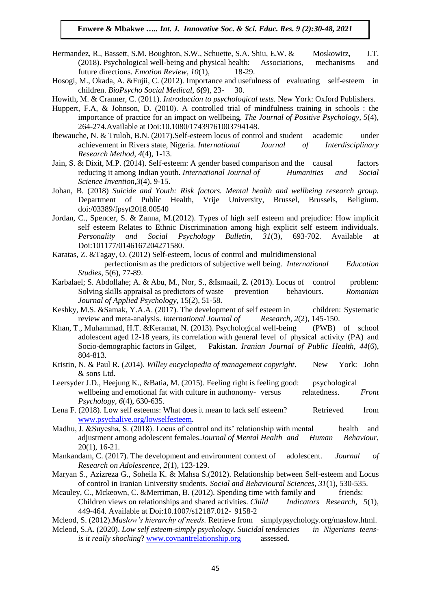- Hermandez, R., Bassett, S.M. Boughton, S.W., Schuette, S.A. Shiu, E.W. & Moskowitz, J.T. (2018). Psychological well-being and physical health: Associations, mechanisms and future directions. *Emotion Review, 10*(1), 18-29.
- Hosogi, M., Okada, A. &Fujii, C. (2012). Importance and usefulness of evaluating self-esteem in children. *BioPsycho Social Medical*, *6***(**9), 23- 30.

Howith, M. & Cranner, C. (2011). *Introduction to psychological tests.* New York: Oxford Publishers.

- Huppert, F.A, & Johnson, D. (2010). A controlled trial of mindfulness training in schools : the importance of practice for an impact on wellbeing. *The Journal of Positive Psychology, 5*(4), 264-274.Available at Doi:10.1080/17439761003794148.
- Ibewauche, N. & Truloh, B.N. (2017).Self-esteem locus of control and student academic under achievement in Rivers state, Nigeria. *International Journal of Interdisciplinary Research Method*, *4*(4), 1-13.
- Jain, S. & Dixit, M.P. (2014). Self-esteem: A gender based comparison and the causal factors reducing it among Indian youth. *International Journal of Humanities and Social Science Invention,3*(4), 9-15.
- Johan, B. (2018) *Suicide and Youth: Risk factors. Mental health and wellbeing research group.*  Department of Public Health, Vrije University, Brussel, Brussels, Beligium. doi:/03389/fpsyt2018.00540
- Jordan, C., Spencer, S. & Zanna, M.(2012). Types of high self esteem and prejudice: How implicit self esteem Relates to Ethnic Discrimination among high explicit self esteem individuals. *Personality and Social Psychology Bulletin, 31*(3), 693-702. Available at Doi:101177/0146167204271580.
- Karatas, Z. &Tagay, O. (2012) Self-esteem, locus of control and multidimensional perfectionism as the predictors of subjective well being. *International Education Studies*, 5(6), 77-89.
- Karbalael; S. Abdollahe; A. & Abu, M., Nor, S., &Ismaail, Z. (2013). Locus of control problem: Solving skills appraisal as predictors of waste prevention behaviours. *Romanian Journal of Applied Psychology*, 15(2), 51-58.
- Keshky, M.S. &Samak, Y.A.A. (2017). The development of self esteem in children: Systematic review and meta-analysis. *International Journal of Research, 2*(2), 145-150.
- Khan, T., Muhammad, H.T. &Keramat, N. (2013). Psychological well-being (PWB) of school adolescent aged 12-18 years, its correlation with general level of physical activity (PA) and Socio-demographic factors in Gilget, Pakistan. *Iranian Journal of Public Health, 44*(6), 804-813.
- Kristin, N. & Paul R. (2014). *Willey encyclopedia of management copyright*. New York: John & sons Ltd.
- Leersyder J.D., Heejung K., &Batia, M. (2015). Feeling right is feeling good: psychological wellbeing and emotional fat with culture in authonomy-versus relatedness. *Front Psychology, 6*(4), 630-635.
- Lena F. (2018). Low self esteems: What does it mean to lack self esteem? Retrieved from [www.psychalive.org/lowselfesteem.](http://www.psychalive.org/lowselfesteem)
- Madhu, J. & Suyesha, S. (2018). Locus of control and its' relationship with mental health and adjustment among adolescent females.*Journal of Mental Health and Human Behaviour*, 20(1), 16-21.
- Mankandam, C. (2017). The development and environment context of adolescent. *Journal of Research on Adolescence, 2*(1), 123-129.
- Maryan S., Azizreza G., Soheila K. & Mahsa S.(2012). Relationship between Self-esteem and Locus of control in Iranian University students. *Social and Behavioural Sciences, 31*(1), 530-535.
- Mcauley, C., Mckeown, C. & Merriman, B. (2012). Spending time with family and friends: Children views on relationships and shared activities. *Child Indicators Research, 5*(1), 449-464. Available at Doi:10.1007/s12187.012- 9158-2
- Mcleod, S. (2012).*Maslow's hierarchy of needs.* Retrieve from simplypsychology.org/maslow.html.
- Mcleod, S.A. (2020). *Low self esteem-simply psychology. Suicidal tendencies in Nigerians teensis it really shocking*? [www.covnantrelationship.org](http://www.covnantrelationship.org/) assessed.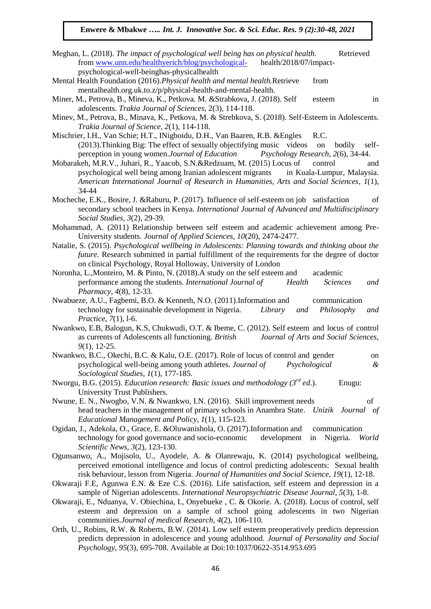- Meghan, L. (2018). *The impact of psychological well being has on physical health*. **Retrieved** from [www.unn.edu/healthyerich/blog/psychological-](http://www.unn.edu/healthyerich/blog/psychological-) health/2018/07/impactpsychological-well-beinghas-physicalhealth
- Mental Health Foundation (2016).*Physical health and mental health.*Retrieve from mentalhealth.org.uk.to.z/p/physical-health-and-mental-health.
- Miner, M., Petrova, B., Mineva, K., Petkova. M. &Strabkova, J. (2018). Self esteem in adolescents. *Trakia Journal of Sciences,* 2(3), 114-118.
- Minev, M., Petrova, B., Minava, K., Petkova, M. & Strebkova, S. (2018). Self-Esteem in Adolescents. *Trakia Journal of Science, 2*(1), 114-118.
- Mischrier, I.H., Van Schie; H.T., INigboidu, D.H., Van Baaren, R.B. &Engles R.C. (2013).Thinking Big: The effect of sexually objectifying music videos on bodily selfperception in young women.*Journal of Education Psychology Research*, *2*(6), 34-44.
- Mobarakeh, M.R.V., Juhari, R., Yaacob, S.N.&Redzuam, M. (2015) Locus of control and psychological well being among Iranian adolescent migrants in Kuala-Lumpur, Malaysia. *American International Journal of Research in Humanities, Arts and Social Sciences*, *1*(1), 34-44
- Mocheche, E.K., Bosire, J. &Raburu, P. (2017). Influence of self-esteem on job satisfaction of secondary school teachers in Kenya. *International Journal of Advanced and Multidisciplinary Social Studies, 3*(2), 29-39.
- Mohammad, A. (2011) Relationship between self esteem and academic achievement among Pre-University students. *Journal of Applied Sciences, 10*(20), 2474-2477.
- Natalie, S. (2015). *Psychological wellbeing in Adolescents: Planning towards and thinking about the future.* Research submitted in partial fulfillment of the requirements for the degree of doctor on clinical Psychology, Royal Holloway, University of London
- Noronha, L.,Monteiro, M. & Pinto, N. (2018).A study on the self esteem and academic performance among the students. *International Journal of Health Sciences and Pharmacy*, *4*(8), 12-33.
- Nwabueze, A.U., Fagbemi, B.O. & Kenneth, N.O. (2011).Information and communication technology for sustainable development in Nigeria. *Library and Philosophy and Practice*, *7*(1), l-6.
- Nwankwo, E.B, Balogun, K.S, Chukwudi, O.T. & Ibeme, C. (2012). Self esteem and locus of control as currents of Adolescents all functioning. *British Journal of Arts and Social Sciences, 9*(1), 12-25.
- Nwankwo, B.C., Okechi, B.C. & Kalu, O.E. (2017). Role of locus of control and gender on psychological well-being among youth athletes. *Journal of Psychological & Sociological Studies, 1*(1), 177-185.
- Nworgu, B.G. (2015). *Education research: Basic issues and methodology (3rd ed*.). Enugu: University Trust Publishers.
- Nwune, E. N., Nwogbo, V.N. & Nwankwo, I.N. (2016). Skill improvement needs of head teachers in the management of primary schools in Anambra State. *Unizik Journal of Educational Management and Policy, 1*(1), 115-123.
- Ogidan, J., Adekola, O., Grace, E. &Oluwanishola, O. (2017).Information and communication technology for good governance and socio-economic development in Nigeria. *World Scientific News, 3*(2), 123-130.
- Ogunsanwo, A., Mojisolo, U., Ayodele, A. & Olanrewaju, K. (2014) psychological wellbeing, perceived emotional intelligence and locus of control predicting adolescents: Sexual health risk behaviour, lesson from Nigeria. *Journal of Humanities and Social Science, 19*(1), 12-18.
- Okwaraji F.E, Agunwa E.N. & Eze C.S. (2016). Life satisfaction, self esteem and depression in a sample of Nigerian adolescents. *International Neuropsychiatric Disease Journal, 5*(3), 1-8.
- Okwaraji, E., Nduanya, V. Obiechina, I., Onyebueke , C. & Okorie. A. (2018). Locus of control, self esteem and depression on a sample of school going adolescents in two Nigerian communities.*Journal of medical Research*, *4*(2), 106-110.
- Orth, U., Robins, R.W. & Roberts, B.W. (2014). Low self esteem preoperatively predicts depression predicts depression in adolescence and young adulthood. *Journal of Personality and Social Psychology, 95*(3), 695-708. Available at Doi:10:1037/0622-3514.953.695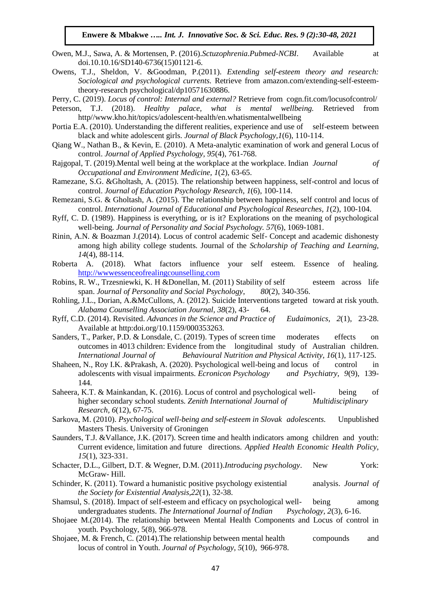- Owen, M.J., Sawa, A. & Mortensen, P. (2016).*Sctuzophrenia.Pubmed-NCBI*. Available at doi.10.10.16/SD140-6736(15)01121-6.
- Owens, T.J., Sheldon, V. &Goodman, P.(2011). *Extending self-esteem theory and research: Sociological and psychological currents.* Retrieve from amazon.com/extending-self-esteemtheory-research psychological/dp10571630886.

Perry, C. (2019). *Locus of control: Internal and external?* Retrieve from cogn.fit.com/locusofcontrol/

- Peterson, T.J. (2018). *Healthy palace, what is mental wellbeing.* Retrieved from http//www.kho.hit/topics/adolescent-health/en.whatismentalwellbeing
- Portia E.A. (2010). Understanding the different realities, experience and use of self-esteem between black and white adolescent girls. *Journal of Black Psychology,1*(6), 110-114.
- Qiang W., Nathan B., & Kevin, E. (2010). A Meta-analytic examination of work and general Locus of control. *Journal of Applied Psychology, 95*(4), 761-768.
- Rajgopal, T. (2019).Mental well being at the workplace at the workplace. Indian *Journal of Occupational and Environment Medicine, 1*(2), 63-65.
- Ramezane, S.G. &Gholtash, A. (2015). The relationship between happiness, self-control and locus of control. *Journal of Education Psychology Research*, *1*(6), 100-114.
- Remezani, S.G. & Gholtash, A. (2015). The relationship between happiness, self control and locus of control. *International Journal of Educational and Psychological Researches, 1*(2), 100-104.
- Ryff, C. D. (1989). Happiness is everything, or is it? Explorations on the meaning of psychological well-being. *Journal of Personality and Social Psychology. 57*(6), 1069-1081.
- Rinin, A.N. & Boazman J.(2014). Locus of control academic Self- Concept and academic dishonesty among high ability college students. Journal of the *Scholarship of Teaching and Learning, 14*(4), 88-114.
- Roberta A. (2018). What factors influence your self esteem. Essence of healing. [http://wwwessenceofrealingcounselling.com](http://wwwessenceofrealingcounselling.com/)
- Robins, R. W., Trzesniewki, K. H &Donellan, M. (2011) Stability of self esteem across life span. *Journal of Personality and Social Psychology*, *80*(2), 340-356.
- Rohling, J.L., Dorian, A.&McCullons, A. (2012). Suicide Interventions targeted toward at risk youth. *Alabama Counselling Association Journal, 38*(2), 43- 64.
- Ryff, C.D. (2014). Revisited. *Advances in the Science and Practice of Eudaimonics, 2*(1), 23-28. Available at http:doi.org/10.1159/000353263.
- Sanders, T., Parker, P.D. & Lonsdale, C. (2019). Types of screen time moderates effects on outcomes in 4013 children: Evidence from the longitudinal study of Australian children. *International Journal of Behavioural Nutrition and Physical Activity, 16*(1), 117-125.
- Shaheen, N., Roy I.K. &Prakash, A. (2020). Psychological well-being and locus of control in adolescents with visual impairments. *Ecronicon Psychology and Psychiatry, 9*(9), 139- 144.
- Saheera, K.T. & Mainkandan, K. (2016). Locus of control and psychological well- being of higher secondary school students. *Zenith International Journal of Multidisciplinary Research, 6*(12), 67-75.
- Sarkova, M. (2010). *Psychological well-being and self-esteem in Slovak adolescents.* Unpublished Masters Thesis. University of Groningen
- Saunders, T.J. &Vallance, J.K. (2017). Screen time and health indicators among children and youth: Current evidence, limitation and future directions. *Applied Health Economic Health Policy, 15*(1), 323-331.
- Schacter, D.L., Gilbert, D.T. & Wegner, D.M. (2011).*Introducing psychology*. New York: McGraw- Hill.
- Schinder, K. (2011). Toward a humanistic positive psychology existential analysis. *Journal of the Society for Existential Analysis,22*(1), 32-38.
- Shamsul, S. (2018). Impact of self-esteem and efficacy on psychological well-<br>being among undergraduates students. *The International Journal of Indian Psychology, 2*(3), 6-16.
- Shojaee M.(2014). The relationship between Mental Health Components and Locus of control in youth. Psychology, 5(8), 966-978.
- Shojaee, M. & French, C. (2014).The relationship between mental health compounds and locus of control in Youth. *Journal of Psychology, 5*(10), 966-978.